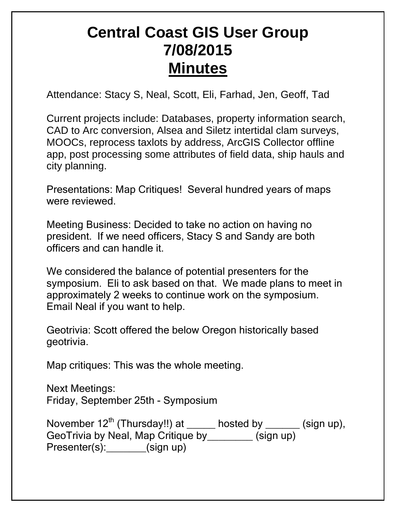## **Central Coast GIS User Group 7/08/2015 Minutes**

Attendance: Stacy S, Neal, Scott, Eli, Farhad, Jen, Geoff, Tad

Current projects include: Databases, property information search, CAD to Arc conversion, Alsea and Siletz intertidal clam surveys, MOOCs, reprocess taxlots by address, ArcGIS Collector offline app, post processing some attributes of field data, ship hauls and city planning.

Presentations: Map Critiques! Several hundred years of maps were reviewed.

Meeting Business: Decided to take no action on having no president. If we need officers, Stacy S and Sandy are both officers and can handle it.

We considered the balance of potential presenters for the symposium. Eli to ask based on that. We made plans to meet in approximately 2 weeks to continue work on the symposium. Email Neal if you want to help.

Geotrivia: Scott offered the below Oregon historically based geotrivia.

Map critiques: This was the whole meeting.

Next Meetings: Friday, September 25th - Symposium

November  $12^{th}$  (Thursday!!) at \_\_\_\_\_ hosted by \_\_\_\_\_\_ (sign up), GeoTrivia by Neal, Map Critique by\_\_\_\_\_\_\_\_ (sign up) Presenter(s):\_\_\_\_\_\_\_(sign up)